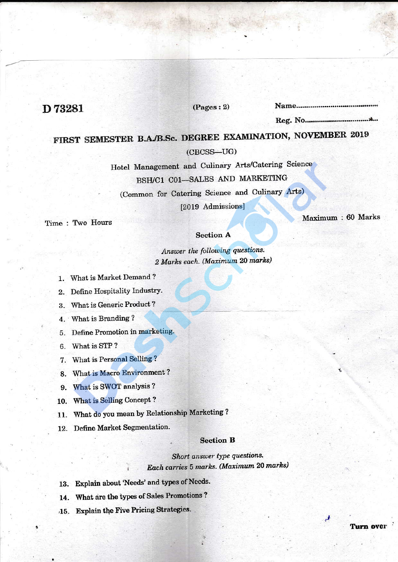## D73281

#### $(Pages: 2)$

# FIRST SEMESTER B.A./B.Sc. DEGREE EXAMINATION, NOVEMBER 2019

 $(CBCSS-UG)$ 

Hotel Management and Culinary Arts/Catering Science BSH/C1 C01-SALES AND MARKETING (Common for Catering Science and Culinary Arts)

[2019 Admissions]

Time: Two Hours

Maximum: 60 Marks

**Turn over** 

#### **Section A**

Answer the following questions. 2 Marks each. (Maximum 20 marks)

1. What is Market Demand?

2. Define Hospitality Industry.

3. What is Generic Product?

4. What is Branding?

5. Define Promotion in marketing.

6. What is STP?

7. What is Personal Selling?

8. What is Macro Environment?

9. What is SWOT analysis?

10. What is Selling Concept?

11. What do you mean by Relationship Marketing?

12. Define Market Segmentation.

#### **Section B**

Short answer type questions. Each carries 5 marks. (Maximum 20 marks)

- 13. Explain about 'Needs' and types of Needs.
- 14. What are the types of Sales Promotions?
- 15. Explain the Five Pricing Strategies.